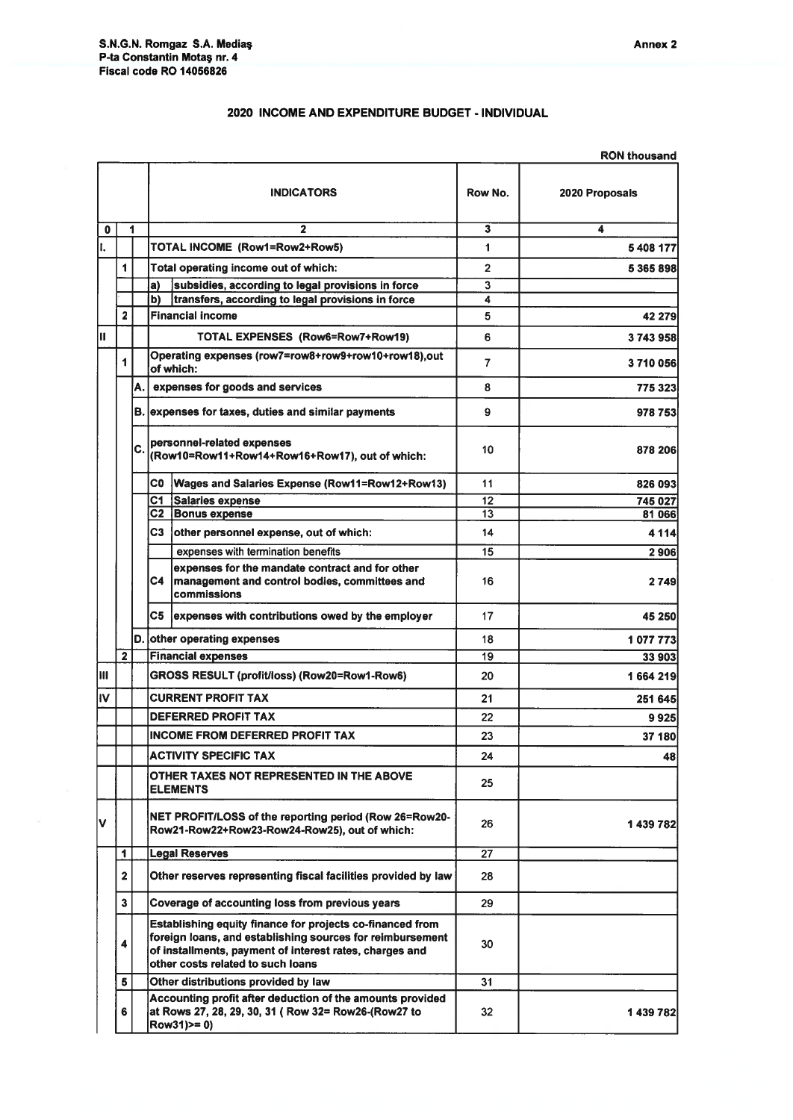## 2020 INCOME AND EXPENDITURE BUDGET - INDIVIDUAL

|    |                         |      |                                                                              |                                                                                                                                                                                                                        |                | <b>RON thousand</b> |
|----|-------------------------|------|------------------------------------------------------------------------------|------------------------------------------------------------------------------------------------------------------------------------------------------------------------------------------------------------------------|----------------|---------------------|
|    |                         |      |                                                                              | <b>INDICATORS</b>                                                                                                                                                                                                      | Row No.        | 2020 Proposals      |
| 0  |                         | 1    |                                                                              | $\mathbf{2}$                                                                                                                                                                                                           | 3              | 4                   |
|    |                         |      |                                                                              | TOTAL INCOME (Row1=Row2+Row5)                                                                                                                                                                                          |                | 5 408 177           |
|    | 1                       |      |                                                                              | Total operating income out of which:                                                                                                                                                                                   | $\overline{2}$ | 5 365 898           |
|    |                         |      | a)                                                                           | subsidies, according to legal provisions in force                                                                                                                                                                      | 3              |                     |
|    |                         |      | lb).                                                                         | transfers, according to legal provisions in force                                                                                                                                                                      | 4              |                     |
|    | $\overline{\mathbf{c}}$ |      |                                                                              | <b>Financial income</b>                                                                                                                                                                                                | 5              | 42 279              |
| Iн |                         |      |                                                                              | TOTAL EXPENSES (Row6=Row7+Row19)                                                                                                                                                                                       | 6              | 3743958             |
|    | 1                       |      | Operating expenses (row7=row8+row9+row10+row18),out<br>of which:             |                                                                                                                                                                                                                        | 7              | 3710056             |
|    |                         | A. I |                                                                              | expenses for goods and services                                                                                                                                                                                        | 8              | 775 323             |
|    |                         |      |                                                                              | B. expenses for taxes, duties and similar payments                                                                                                                                                                     |                | 978 753             |
|    |                         | C.   | personnel-related expenses<br>(Row10=Row11+Row14+Row16+Row17), out of which: |                                                                                                                                                                                                                        | 10             | 878 206             |
|    |                         |      | C0                                                                           | Wages and Salaries Expense (Row11=Row12+Row13)                                                                                                                                                                         | 11             | 826 093             |
|    |                         |      | C1                                                                           | Salaries expense                                                                                                                                                                                                       | 12             | 745 027             |
|    |                         |      | C2                                                                           | <b>Bonus expense</b>                                                                                                                                                                                                   | 13             | 81 066              |
|    |                         |      | C3                                                                           | other personnel expense, out of which:                                                                                                                                                                                 | 14             | 4 1 1 4             |
|    |                         |      |                                                                              | expenses with termination benefits                                                                                                                                                                                     | 15             | 2906                |
|    |                         |      | C4                                                                           | expenses for the mandate contract and for other<br>management and control bodies, committees and<br>commissions                                                                                                        | 16             | 2749                |
|    |                         |      | C5                                                                           | expenses with contributions owed by the employer                                                                                                                                                                       | 17             | 45 250              |
|    |                         | ID.  | other operating expenses                                                     |                                                                                                                                                                                                                        | 18             | 1 077 773           |
|    | $\overline{2}$          |      | <b>Financial expenses</b>                                                    |                                                                                                                                                                                                                        | 19             | 33 903              |
| Iш |                         |      |                                                                              | GROSS RESULT (profit/loss) (Row20=Row1-Row6)                                                                                                                                                                           |                | 1664 219            |
| IV |                         |      | <b>CURRENT PROFIT TAX</b>                                                    |                                                                                                                                                                                                                        | 21             | 251 645             |
|    |                         |      | <b>DEFERRED PROFIT TAX</b>                                                   |                                                                                                                                                                                                                        | 22             | 9925                |
|    |                         |      | <b>INCOME FROM DEFERRED PROFIT TAX</b>                                       |                                                                                                                                                                                                                        | 23             | <b>37 180</b>       |
|    |                         |      | <b>ACTIVITY SPECIFIC TAX</b>                                                 |                                                                                                                                                                                                                        | 24             | 48                  |
|    |                         |      | OTHER TAXES NOT REPRESENTED IN THE ABOVE<br><b>ELEMENTS</b>                  |                                                                                                                                                                                                                        | 25             |                     |
| l۷ |                         |      |                                                                              | NET PROFIT/LOSS of the reporting period (Row 26=Row20-<br>Row21-Row22+Row23-Row24-Row25), out of which:                                                                                                                | 26             | 1 439 782           |
|    | 1                       |      | <b>Legal Reserves</b>                                                        |                                                                                                                                                                                                                        | 27             |                     |
|    | $\overline{2}$          |      |                                                                              | Other reserves representing fiscal facilities provided by law                                                                                                                                                          | 28             |                     |
|    | 3                       |      |                                                                              | Coverage of accounting loss from previous years                                                                                                                                                                        | 29             |                     |
|    | 4                       |      |                                                                              | Establishing equity finance for projects co-financed from<br>foreign loans, and establishing sources for reimbursement<br>of installments, payment of interest rates, charges and<br>other costs related to such loans | 30             |                     |
|    | 5                       |      |                                                                              | Other distributions provided by law                                                                                                                                                                                    | 31             |                     |
|    | 6                       |      |                                                                              | Accounting profit after deduction of the amounts provided<br>at Rows 27, 28, 29, 30, 31 (Row 32= Row26-(Row27 to<br>$Row31$ ) $= 0$ )                                                                                  | 32             | 1 439 7821          |